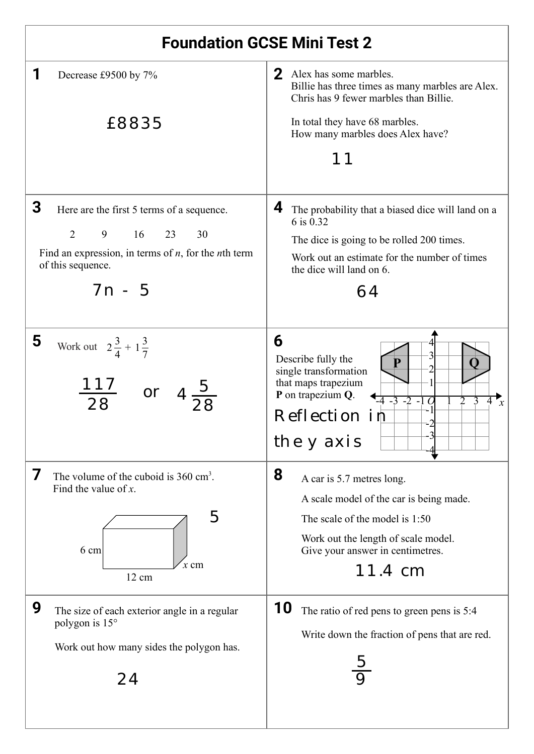| <b>Foundation GCSE Mini Test 2</b>                                                                                                                                                   |                                                                                                                                                                                                    |  |  |  |
|--------------------------------------------------------------------------------------------------------------------------------------------------------------------------------------|----------------------------------------------------------------------------------------------------------------------------------------------------------------------------------------------------|--|--|--|
| Decrease £9500 by 7%                                                                                                                                                                 | 2 Alex has some marbles.<br>Billie has three times as many marbles are Alex.<br>Chris has 9 fewer marbles than Billie.                                                                             |  |  |  |
| £8835                                                                                                                                                                                | In total they have 68 marbles.<br>How many marbles does Alex have?                                                                                                                                 |  |  |  |
| 3<br>Here are the first 5 terms of a sequence.<br>$\overline{2}$<br>9 16 23<br>30<br>Find an expression, in terms of $n$ , for the <i>n</i> th term<br>of this sequence.<br>$7n - 5$ | 4<br>The probability that a biased dice will land on a<br>6 is 0.32<br>The dice is going to be rolled 200 times.<br>Work out an estimate for the number of times<br>the dice will land on 6.<br>64 |  |  |  |
| 5<br>Work out $2\frac{3}{4} + 1\frac{3}{7}$<br>or                                                                                                                                    | 6<br>Describe fully the<br>single transformation<br>that maps trapezium<br>P on trapezium Q.<br>$-4$ $-3$ $-2$ $-1$<br>$\mathcal{P}$<br>$\mathcal{X}$<br>Reflection in<br>the y axis               |  |  |  |
| 7<br>The volume of the cuboid is $360 \text{ cm}^3$ .<br>Find the value of $x$ .<br>5<br>6 cm<br>$x \text{ cm}$<br>12 cm                                                             | 8<br>A car is 5.7 metres long.<br>A scale model of the car is being made.<br>The scale of the model is 1:50<br>Work out the length of scale model.<br>Give your answer in centimetres.<br>11.4 cm  |  |  |  |
| 9<br>The size of each exterior angle in a regular<br>polygon is 15°<br>Work out how many sides the polygon has.<br>24                                                                | 10<br>The ratio of red pens to green pens is 5:4<br>Write down the fraction of pens that are red.                                                                                                  |  |  |  |